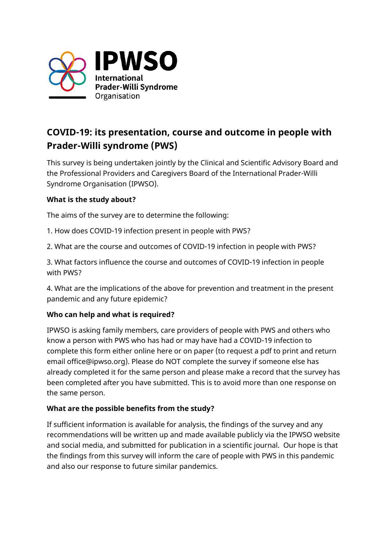

# **COVID-19: its presentation, course and outcome in people with Prader-Willi syndrome (PWS)**

This survey is being undertaken jointly by the Clinical and Scientific Advisory Board and the Professional Providers and Caregivers Board of the International Prader-Willi Syndrome Organisation (IPWSO).

## **What is the study about?**

The aims of the survey are to determine the following:

- 1. How does COVID-19 infection present in people with PWS?
- 2. What are the course and outcomes of COVID-19 infection in people with PWS?

3. What factors influence the course and outcomes of COVID-19 infection in people with PWS?

4. What are the implications of the above for prevention and treatment in the present pandemic and any future epidemic?

## **Who can help and what is required?**

IPWSO is asking family members, care providers of people with PWS and others who know a person with PWS who has had or may have had a COVID-19 infection to complete this form either online here or on paper (to request a pdf to print and return email office@ipwso.org). Please do NOT complete the survey if someone else has already completed it for the same person and please make a record that the survey has been completed after you have submitted. This is to avoid more than one response on the same person.

## **What are the possible benefits from the study?**

If sufficient information is available for analysis, the findings of the survey and any recommendations will be written up and made available publicly via the IPWSO website and social media, and submitted for publication in a scientific journal. Our hope is that the findings from this survey will inform the care of people with PWS in this pandemic and also our response to future similar pandemics.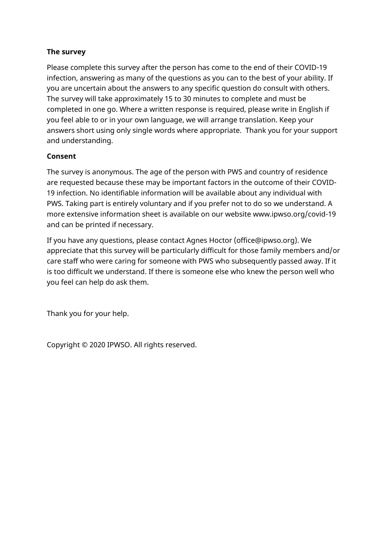## **The survey**

Please complete this survey after the person has come to the end of their COVID-19 infection, answering as many of the questions as you can to the best of your ability. If you are uncertain about the answers to any specific question do consult with others. The survey will take approximately 15 to 30 minutes to complete and must be completed in one go. Where a written response is required, please write in English if you feel able to or in your own language, we will arrange translation. Keep your answers short using only single words where appropriate. Thank you for your support and understanding.

## **Consent**

The survey is anonymous. The age of the person with PWS and country of residence are requested because these may be important factors in the outcome of their COVID-19 infection. No identifiable information will be available about any individual with PWS. Taking part is entirely voluntary and if you prefer not to do so we understand. A more extensive information sheet is available on our website www.ipwso.org/covid-19 and can be printed if necessary.

If you have any questions, please contact Agnes Hoctor (office@ipwso.org). We appreciate that this survey will be particularly difficult for those family members and/or care staff who were caring for someone with PWS who subsequently passed away. If it is too difficult we understand. If there is someone else who knew the person well who you feel can help do ask them.

Thank you for your help.

Copyright © 2020 IPWSO. All rights reserved.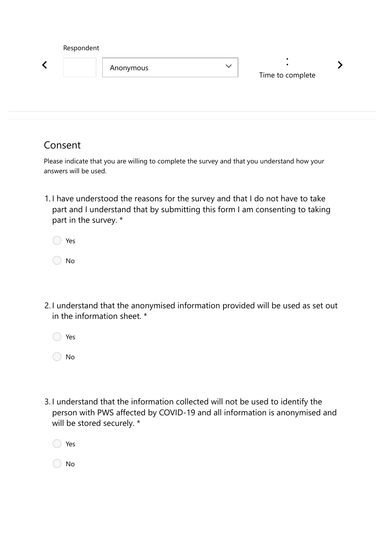| Respondent |           |              |                  |  |
|------------|-----------|--------------|------------------|--|
|            | Anonymous | $\checkmark$ | Time to complete |  |
|            |           |              |                  |  |

## Consent

Please indicate that you are willing to complete the survey and that you understand how your answers will be used.

1. I have understood the reasons for the survey and that I do not have to take part and I understand that by submitting this form I am consenting to taking part in the survey. \*

| Yes |
|-----|
|     |

No

- 2. I understand that the anonymised information provided will be used as set out in the information sheet. \*
	- ◯ Yes

◯ No

3. I understand that the information collected will not be used to identify the person with PWS affected by COVID-19 and all information is anonymised and will be stored securely. \*

| Yes |
|-----|
|     |

◯ No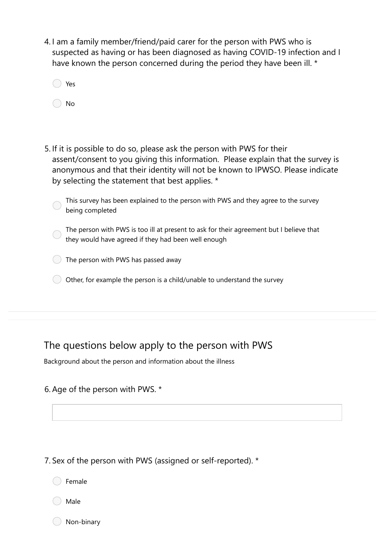4. I am a family member/friend/paid carer for the person with PWS who is suspected as having or has been diagnosed as having COVID-19 infection and I have known the person concerned during the period they have been ill. \*

| Yes |
|-----|
| No  |

5. If it is possible to do so, please ask the person with PWS for their assent/consent to you giving this information. Please explain that the survey is anonymous and that their identity will not be known to IPWSO. Please indicate by selecting the statement that best applies. \*

| This survey has been explained to the person with PWS and they agree to the survey |
|------------------------------------------------------------------------------------|
| being completed                                                                    |

- The person with PWS is too ill at present to ask for their agreement but I believe that they would have agreed if they had been well enough
- The person with PWS has passed away
- $\bigcirc$  Other, for example the person is a child/unable to understand the survey

## The questions below apply to the person with PWS

Background about the person and information about the illness

## 6. Age of the person with PWS. \*

7. Sex of the person with PWS (assigned or self-reported). \*

Female

Male

Non-binary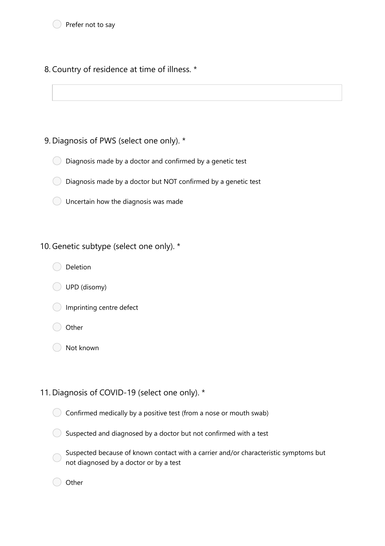8. Country of residence at time of illness. \*

## 9. Diagnosis of PWS (select one only). \*

 $\bigcirc$  Diagnosis made by a doctor and confirmed by a genetic test

 $\bigcirc$  Diagnosis made by a doctor but NOT confirmed by a genetic test

Uncertain how the diagnosis was made

## 10. Genetic subtype (select one only). \*

- Deletion
- UPD (disomy)
- **Imprinting centre defect**
- **Other**
- Not known

## 11. Diagnosis of COVID-19 (select one only). \*

 $\bigcirc$  Confirmed medically by a positive test (from a nose or mouth swab)

 $\bigcirc$  Suspected and diagnosed by a doctor but not confirmed with a test

Suspected because of known contact with a carrier and/or characteristic symptoms but  $\bigcap$ not diagnosed by a doctor or by a test

Other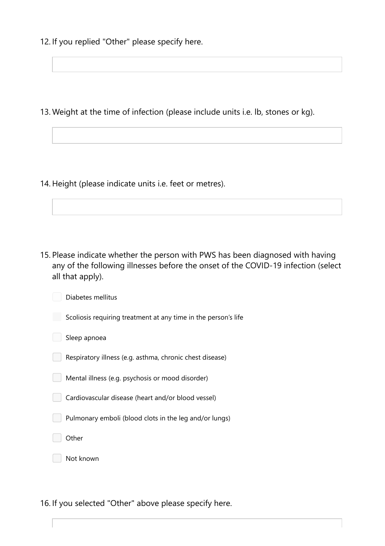12. If you replied "Other" please specify here.

13. Weight at the time of infection (please include units i.e. lb, stones or kg).

14. Height (please indicate units i.e. feet or metres).

15. Please indicate whether the person with PWS has been diagnosed with having any of the following illnesses before the onset of the COVID-19 infection (select all that apply).

Diabetes mellitus

Scoliosis requiring treatment at any time in the person's life

|  |  |  | Sleep apnoea |
|--|--|--|--------------|
|--|--|--|--------------|

Respiratory illness (e.g. asthma, chronic chest disease)

Mental illness (e.g. psychosis or mood disorder)

Cardiovascular disease (heart and/or blood vessel)

Pulmonary emboli (blood clots in the leg and/or lungs)

**Other** 

Not known

16. If you selected "Other" above please specify here.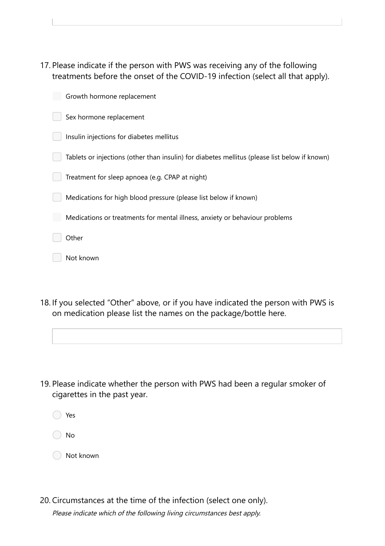17. Please indicate if the person with PWS was receiving any of the following treatments before the onset of the COVID-19 infection (select all that apply).

| Growth hormone replacement                                                                    |
|-----------------------------------------------------------------------------------------------|
| Sex hormone replacement                                                                       |
| Insulin injections for diabetes mellitus                                                      |
| Tablets or injections (other than insulin) for diabetes mellitus (please list below if known) |
| Treatment for sleep apnoea (e.g. CPAP at night)                                               |
| Medications for high blood pressure (please list below if known)                              |
| Medications or treatments for mental illness, anxiety or behaviour problems                   |
| Other                                                                                         |
| Not known                                                                                     |

18. If you selected "Other" above, or if you have indicated the person with PWS is on medication please list the names on the package/bottle here.

19. Please indicate whether the person with PWS had been a regular smoker of cigarettes in the past year.

Yes

No

Not known

Please indicate which of the following living circumstances best apply. 20. Circumstances at the time of the infection (select one only).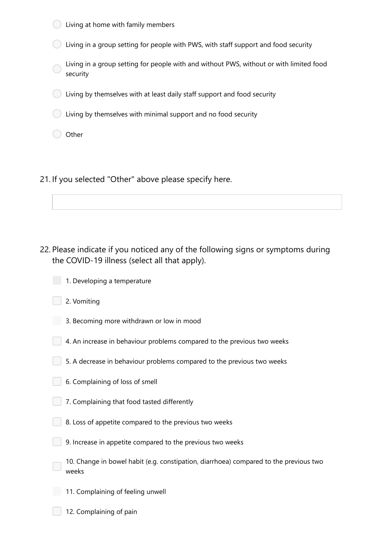- Living at home with family members Living in a group setting for people with PWS, with staff support and food security Living in a group setting for people with and without PWS, without or with limited food security Living by themselves with at least daily staff support and food security  $\bigcirc$  Living by themselves with minimal support and no food security Other
- 21. If you selected "Other" above please specify here.

- 22. Please indicate if you noticed any of the following signs or symptoms during the COVID-19 illness (select all that apply).
	- 1. Developing a temperature
		- 2. Vomiting
	- 3. Becoming more withdrawn or low in mood
	- $\vert$  4. An increase in behaviour problems compared to the previous two weeks
	- $\Box$  5. A decrease in behaviour problems compared to the previous two weeks
	- 6. Complaining of loss of smell
	- 7. Complaining that food tasted differently
		- 8. Loss of appetite compared to the previous two weeks
		- 9. Increase in appetite compared to the previous two weeks
		- 10. Change in bowel habit (e.g. constipation, diarrhoea) compared to the previous two weeks
	- 11. Complaining of feeling unwell
		- 12. Complaining of pain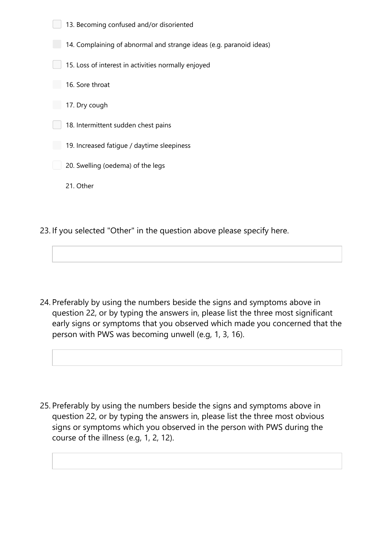- 13. Becoming confused and/or disoriented 14. Complaining of abnormal and strange ideas (e.g. paranoid ideas) **15. Loss of interest in activities normally enjoyed** 16. Sore throat 17. Dry cough 18. Intermittent sudden chest pains 19. Increased fatigue / daytime sleepiness 20. Swelling (oedema) of the legs 21. Other
- 23. If you selected "Other" in the question above please specify here.

24. Preferably by using the numbers beside the signs and symptoms above in question 22, or by typing the answers in, please list the three most significant early signs or symptoms that you observed which made you concerned that the person with PWS was becoming unwell (e.g, 1, 3, 16).

25. Preferably by using the numbers beside the signs and symptoms above in question 22, or by typing the answers in, please list the three most obvious signs or symptoms which you observed in the person with PWS during the course of the illness (e.g, 1, 2, 12).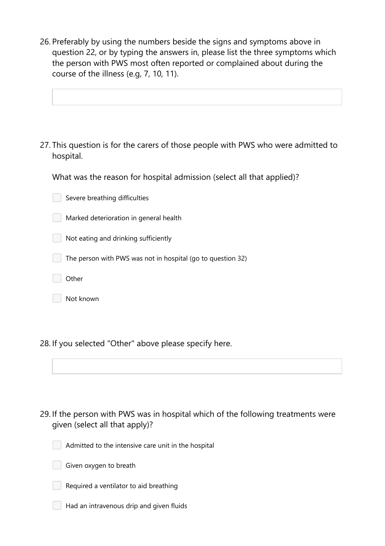26. Preferably by using the numbers beside the signs and symptoms above in question 22, or by typing the answers in, please list the three symptoms which the person with PWS most often reported or complained about during the course of the illness (e.g, 7, 10, 11).

27. This question is for the carers of those people with PWS who were admitted to hospital.

What was the reason for hospital admission (select all that applied)?

 $\Box$  Severe breathing difficulties

Marked deterioration in general health

Not eating and drinking sufficiently

The person with PWS was not in hospital (go to question 32)

**Other** 

Not known

28. If you selected "Other" above please specify here.

29. If the person with PWS was in hospital which of the following treatments were given (select all that apply)?



Admitted to the intensive care unit in the hospital





 $\Box$  Had an intravenous drip and given fluids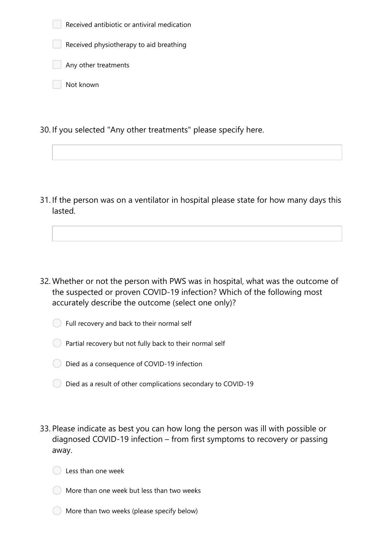| Received antibiotic or antiviral medication |  |
|---------------------------------------------|--|
| Received physiotherapy to aid breathing     |  |
| Any other treatments                        |  |
| Not known                                   |  |

30. If you selected "Any other treatments" please specify here.

31. If the person was on a ventilator in hospital please state for how many days this lasted.

- 32. Whether or not the person with PWS was in hospital, what was the outcome of the suspected or proven COVID-19 infection? Which of the following most accurately describe the outcome (select one only)?
	- Full recovery and back to their normal self
	- $\bigcirc$  Partial recovery but not fully back to their normal self
	- Died as a consequence of COVID-19 infection
	- $\bigcirc$  Died as a result of other complications secondary to COVID-19
- 33. Please indicate as best you can how long the person was ill with possible or diagnosed COVID-19 infection – from first symptoms to recovery or passing away.



- More than one week but less than two weeks
- More than two weeks (please specify below)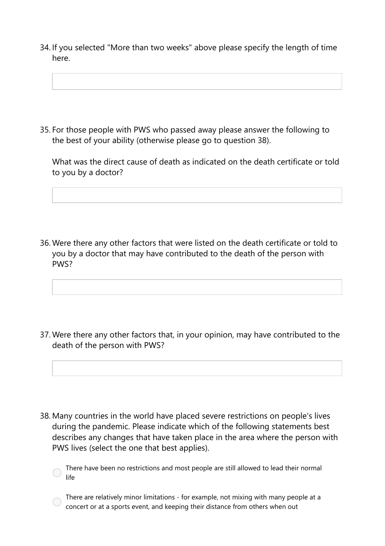34. If you selected "More than two weeks" above please specify the length of time here.

35. For those people with PWS who passed away please answer the following to the best of your ability (otherwise please go to question 38).

What was the direct cause of death as indicated on the death certificate or told to you by a doctor?

36. Were there any other factors that were listed on the death certificate or told to you by a doctor that may have contributed to the death of the person with PWS?

37. Were there any other factors that, in your opinion, may have contributed to the death of the person with PWS?

38. Many countries in the world have placed severe restrictions on people's lives during the pandemic. Please indicate which of the following statements best describes any changes that have taken place in the area where the person with PWS lives (select the one that best applies).

There have been no restrictions and most people are still allowed to lead their normal  $\bigcirc$ life

There are relatively minor limitations - for example, not mixing with many people at a concert or at a sports event, and keeping their distance from others when out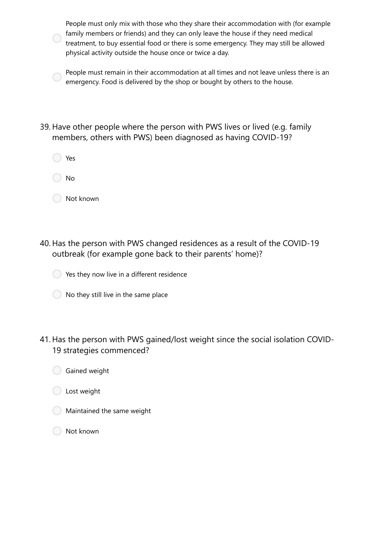People must only mix with those who they share their accommodation with (for example family members or friends) and they can only leave the house if they need medical treatment, to buy essential food or there is some emergency. They may still be allowed physical activity outside the house once or twice a day.

People must remain in their accommodation at all times and not leave unless there is an emergency. Food is delivered by the shop or bought by others to the house.

- 39. Have other people where the person with PWS lives or lived (e.g. family members, others with PWS) been diagnosed as having COVID-19?
	- Yes
	- No
	- Not known
- 40. Has the person with PWS changed residences as a result of the COVID-19 outbreak (for example gone back to their parents' home)?



- $\bigcirc$  No they still live in the same place
- 41. Has the person with PWS gained/lost weight since the social isolation COVID-19 strategies commenced?
	- Gained weight
	- C Lost weight
	- Maintained the same weight
	- Not known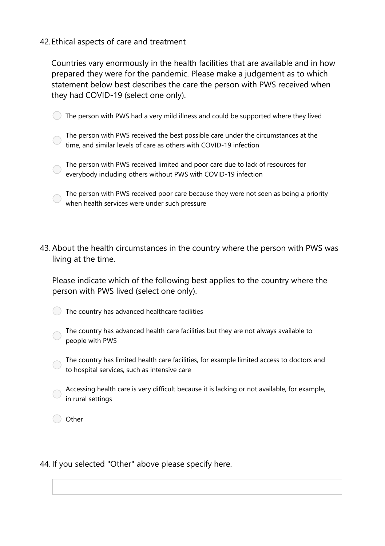## 42.Ethical aspects of care and treatment

Countries vary enormously in the health facilities that are available and in how prepared they were for the pandemic. Please make a judgement as to which statement below best describes the care the person with PWS received when they had COVID-19 (select one only).

 $\bigcirc$  The person with PWS had a very mild illness and could be supported where they lived

The person with PWS received the best possible care under the circumstances at the time, and similar levels of care as others with COVID-19 infection

The person with PWS received limited and poor care due to lack of resources for everybody including others without PWS with COVID-19 infection

The person with PWS received poor care because they were not seen as being a priority when health services were under such pressure

43. About the health circumstances in the country where the person with PWS was living at the time.

Please indicate which of the following best applies to the country where the person with PWS lived (select one only).

The country has advanced healthcare facilities

The country has advanced health care facilities but they are not always available to people with PWS

The country has limited health care facilities, for example limited access to doctors and to hospital services, such as intensive care

Accessing health care is very difficult because it is lacking or not available, for example, in rural settings

Other

## 44. If you selected "Other" above please specify here.